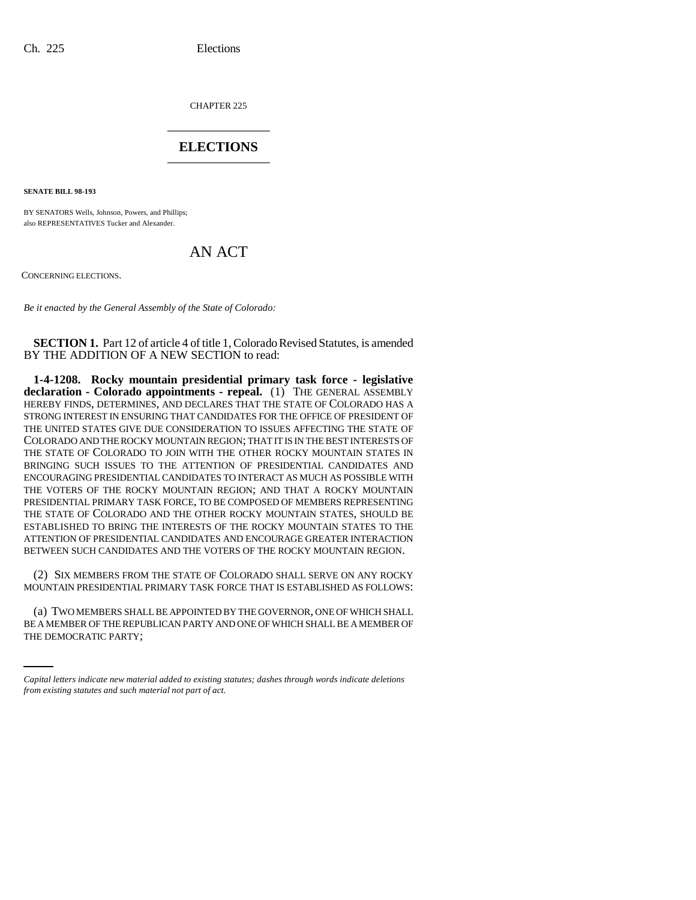CHAPTER 225 \_\_\_\_\_\_\_\_\_\_\_\_\_\_\_

## **ELECTIONS** \_\_\_\_\_\_\_\_\_\_\_\_\_\_\_

**SENATE BILL 98-193**

BY SENATORS Wells, Johnson, Powers, and Phillips; also REPRESENTATIVES Tucker and Alexander.

## AN ACT

CONCERNING ELECTIONS.

*Be it enacted by the General Assembly of the State of Colorado:*

**SECTION 1.** Part 12 of article 4 of title 1, Colorado Revised Statutes, is amended BY THE ADDITION OF A NEW SECTION to read:

**1-4-1208. Rocky mountain presidential primary task force - legislative declaration - Colorado appointments - repeal.** (1) THE GENERAL ASSEMBLY HEREBY FINDS, DETERMINES, AND DECLARES THAT THE STATE OF COLORADO HAS A STRONG INTEREST IN ENSURING THAT CANDIDATES FOR THE OFFICE OF PRESIDENT OF THE UNITED STATES GIVE DUE CONSIDERATION TO ISSUES AFFECTING THE STATE OF COLORADO AND THE ROCKY MOUNTAIN REGION; THAT IT IS IN THE BEST INTERESTS OF THE STATE OF COLORADO TO JOIN WITH THE OTHER ROCKY MOUNTAIN STATES IN BRINGING SUCH ISSUES TO THE ATTENTION OF PRESIDENTIAL CANDIDATES AND ENCOURAGING PRESIDENTIAL CANDIDATES TO INTERACT AS MUCH AS POSSIBLE WITH THE VOTERS OF THE ROCKY MOUNTAIN REGION; AND THAT A ROCKY MOUNTAIN PRESIDENTIAL PRIMARY TASK FORCE, TO BE COMPOSED OF MEMBERS REPRESENTING THE STATE OF COLORADO AND THE OTHER ROCKY MOUNTAIN STATES, SHOULD BE ESTABLISHED TO BRING THE INTERESTS OF THE ROCKY MOUNTAIN STATES TO THE ATTENTION OF PRESIDENTIAL CANDIDATES AND ENCOURAGE GREATER INTERACTION BETWEEN SUCH CANDIDATES AND THE VOTERS OF THE ROCKY MOUNTAIN REGION.

(2) SIX MEMBERS FROM THE STATE OF COLORADO SHALL SERVE ON ANY ROCKY MOUNTAIN PRESIDENTIAL PRIMARY TASK FORCE THAT IS ESTABLISHED AS FOLLOWS:

(a) TWO MEMBERS SHALL BE APPOINTED BY THE GOVERNOR, ONE OF WHICH SHALL BE A MEMBER OF THE REPUBLICAN PARTY AND ONE OF WHICH SHALL BE A MEMBER OF THE DEMOCRATIC PARTY;

*Capital letters indicate new material added to existing statutes; dashes through words indicate deletions from existing statutes and such material not part of act.*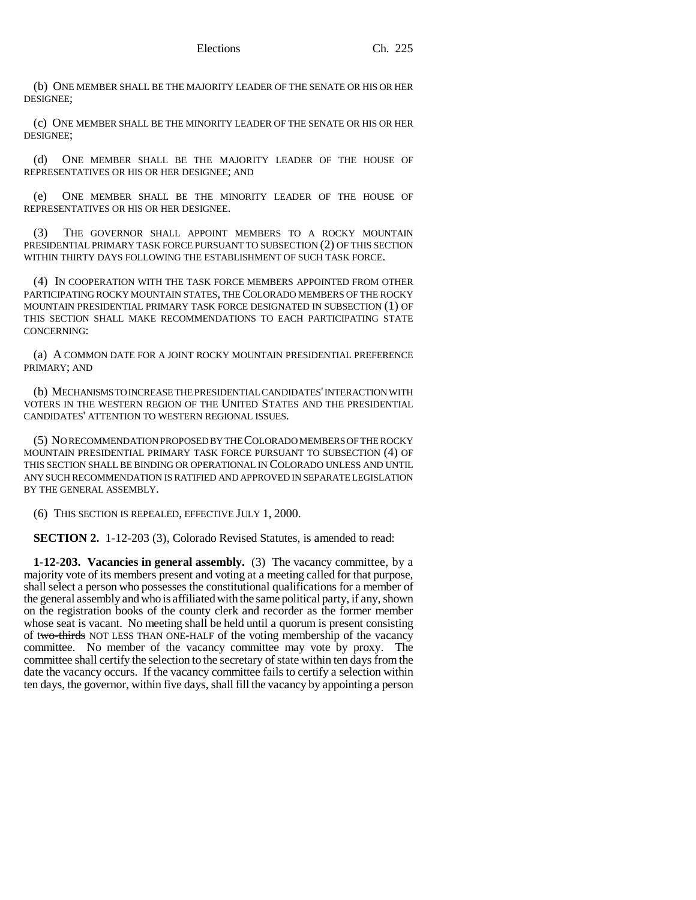(b) ONE MEMBER SHALL BE THE MAJORITY LEADER OF THE SENATE OR HIS OR HER DESIGNEE;

(c) ONE MEMBER SHALL BE THE MINORITY LEADER OF THE SENATE OR HIS OR HER DESIGNEE;

(d) ONE MEMBER SHALL BE THE MAJORITY LEADER OF THE HOUSE OF REPRESENTATIVES OR HIS OR HER DESIGNEE; AND

(e) ONE MEMBER SHALL BE THE MINORITY LEADER OF THE HOUSE OF REPRESENTATIVES OR HIS OR HER DESIGNEE.

(3) THE GOVERNOR SHALL APPOINT MEMBERS TO A ROCKY MOUNTAIN PRESIDENTIAL PRIMARY TASK FORCE PURSUANT TO SUBSECTION (2) OF THIS SECTION WITHIN THIRTY DAYS FOLLOWING THE ESTABLISHMENT OF SUCH TASK FORCE.

(4) IN COOPERATION WITH THE TASK FORCE MEMBERS APPOINTED FROM OTHER PARTICIPATING ROCKY MOUNTAIN STATES, THE COLORADO MEMBERS OF THE ROCKY MOUNTAIN PRESIDENTIAL PRIMARY TASK FORCE DESIGNATED IN SUBSECTION (1) OF THIS SECTION SHALL MAKE RECOMMENDATIONS TO EACH PARTICIPATING STATE CONCERNING:

(a) A COMMON DATE FOR A JOINT ROCKY MOUNTAIN PRESIDENTIAL PREFERENCE PRIMARY; AND

(b) MECHANISMS TO INCREASE THE PRESIDENTIAL CANDIDATES' INTERACTION WITH VOTERS IN THE WESTERN REGION OF THE UNITED STATES AND THE PRESIDENTIAL CANDIDATES' ATTENTION TO WESTERN REGIONAL ISSUES.

(5) NO RECOMMENDATION PROPOSED BY THE COLORADO MEMBERS OF THE ROCKY MOUNTAIN PRESIDENTIAL PRIMARY TASK FORCE PURSUANT TO SUBSECTION (4) OF THIS SECTION SHALL BE BINDING OR OPERATIONAL IN COLORADO UNLESS AND UNTIL ANY SUCH RECOMMENDATION IS RATIFIED AND APPROVED IN SEPARATE LEGISLATION BY THE GENERAL ASSEMBLY.

(6) THIS SECTION IS REPEALED, EFFECTIVE JULY 1, 2000.

**SECTION 2.** 1-12-203 (3), Colorado Revised Statutes, is amended to read:

**1-12-203. Vacancies in general assembly.** (3) The vacancy committee, by a majority vote of its members present and voting at a meeting called for that purpose, shall select a person who possesses the constitutional qualifications for a member of the general assembly and who is affiliated with the same political party, if any, shown on the registration books of the county clerk and recorder as the former member whose seat is vacant. No meeting shall be held until a quorum is present consisting of two-thirds NOT LESS THAN ONE-HALF of the voting membership of the vacancy committee. No member of the vacancy committee may vote by proxy. The committee shall certify the selection to the secretary of state within ten days from the date the vacancy occurs. If the vacancy committee fails to certify a selection within ten days, the governor, within five days, shall fill the vacancy by appointing a person